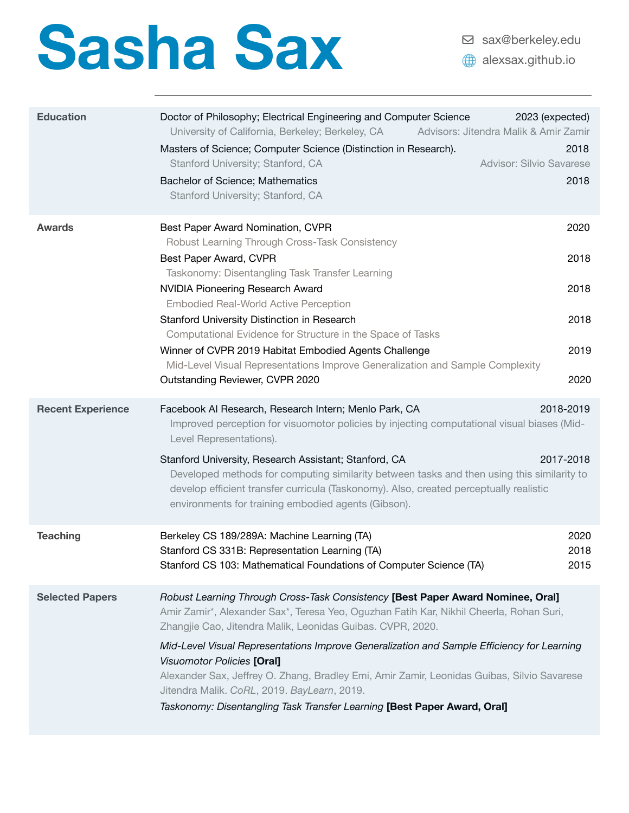# Sasha Sax <sup>S</sup>asax@berkeley.edu

| <b>Education</b>         | Doctor of Philosophy; Electrical Engineering and Computer Science<br>2023 (expected)<br>University of California, Berkeley; Berkeley, CA<br>Advisors: Jitendra Malik & Amir Zamir<br>Masters of Science; Computer Science (Distinction in Research).<br>Stanford University; Stanford, CA<br><b>Advisor: Silvio Savarese</b><br><b>Bachelor of Science; Mathematics</b><br>Stanford University; Stanford, CA                                                                                                                                                                                  | 2018<br>2018                 |
|--------------------------|-----------------------------------------------------------------------------------------------------------------------------------------------------------------------------------------------------------------------------------------------------------------------------------------------------------------------------------------------------------------------------------------------------------------------------------------------------------------------------------------------------------------------------------------------------------------------------------------------|------------------------------|
| <b>Awards</b>            | Best Paper Award Nomination, CVPR<br>Robust Learning Through Cross-Task Consistency<br>Best Paper Award, CVPR<br>Taskonomy: Disentangling Task Transfer Learning<br><b>NVIDIA Pioneering Research Award</b><br><b>Embodied Real-World Active Perception</b><br>Stanford University Distinction in Research                                                                                                                                                                                                                                                                                    | 2020<br>2018<br>2018<br>2018 |
|                          | Computational Evidence for Structure in the Space of Tasks<br>Winner of CVPR 2019 Habitat Embodied Agents Challenge<br>Mid-Level Visual Representations Improve Generalization and Sample Complexity<br>Outstanding Reviewer, CVPR 2020                                                                                                                                                                                                                                                                                                                                                       | 2019<br>2020                 |
| <b>Recent Experience</b> | Facebook Al Research, Research Intern; Menlo Park, CA<br>Improved perception for visuomotor policies by injecting computational visual biases (Mid-<br>Level Representations).<br>Stanford University, Research Assistant; Stanford, CA<br>Developed methods for computing similarity between tasks and then using this similarity to<br>develop efficient transfer curricula (Taskonomy). Also, created perceptually realistic<br>environments for training embodied agents (Gibson).                                                                                                        | 2018-2019<br>2017-2018       |
| <b>Teaching</b>          | Berkeley CS 189/289A: Machine Learning (TA)<br>Stanford CS 331B: Representation Learning (TA)<br>Stanford CS 103: Mathematical Foundations of Computer Science (TA)                                                                                                                                                                                                                                                                                                                                                                                                                           | 2020<br>2018<br>2015         |
| <b>Selected Papers</b>   | Robust Learning Through Cross-Task Consistency [Best Paper Award Nominee, Oral]<br>Amir Zamir*, Alexander Sax*, Teresa Yeo, Oguzhan Fatih Kar, Nikhil Cheerla, Rohan Suri,<br>Zhangjie Cao, Jitendra Malik, Leonidas Guibas. CVPR, 2020.<br>Mid-Level Visual Representations Improve Generalization and Sample Efficiency for Learning<br>Visuomotor Policies [Oral]<br>Alexander Sax, Jeffrey O. Zhang, Bradley Emi, Amir Zamir, Leonidas Guibas, Silvio Savarese<br>Jitendra Malik. CoRL, 2019. BayLearn, 2019.<br>Taskonomy: Disentangling Task Transfer Learning [Best Paper Award, Oral] |                              |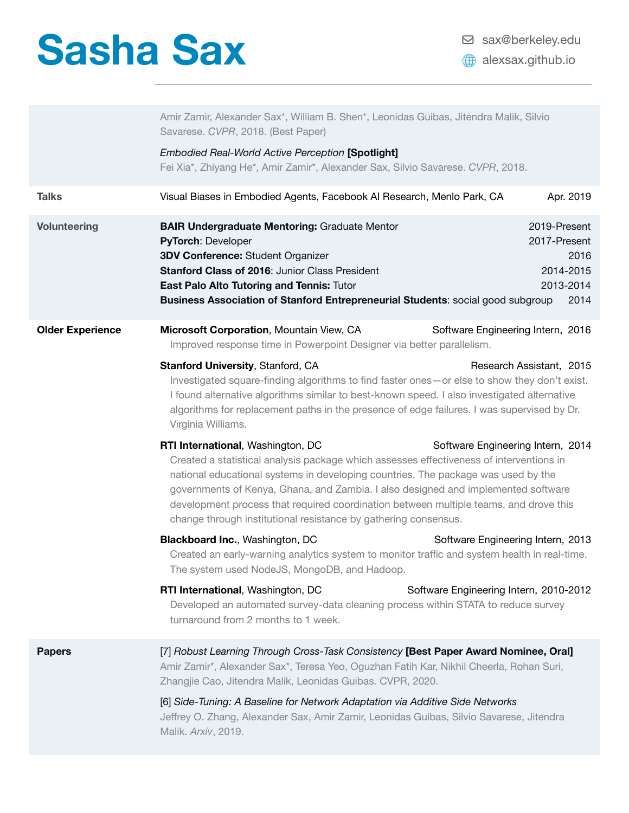## Sasha Sax<br> **Sasha Sax Example A** alexsax.github.io

**alexsax.github.io** 

|                         | Amir Zamir, Alexander Sax*, William B. Shen*, Leonidas Guibas, Jitendra Malik, Silvio<br>Savarese. CVPR, 2018. (Best Paper)                                                                                                                                                                                                                                                                                                                                                                             |  |
|-------------------------|---------------------------------------------------------------------------------------------------------------------------------------------------------------------------------------------------------------------------------------------------------------------------------------------------------------------------------------------------------------------------------------------------------------------------------------------------------------------------------------------------------|--|
|                         | Embodied Real-World Active Perception [Spotlight]<br>Fei Xia*, Zhiyang He*, Amir Zamir*, Alexander Sax, Silvio Savarese. CVPR, 2018.                                                                                                                                                                                                                                                                                                                                                                    |  |
| <b>Talks</b>            | Visual Biases in Embodied Agents, Facebook Al Research, Menlo Park, CA<br>Apr. 2019                                                                                                                                                                                                                                                                                                                                                                                                                     |  |
| <b>Volunteering</b>     | <b>BAIR Undergraduate Mentoring: Graduate Mentor</b><br>2019-Present<br>PyTorch: Developer<br>2017-Present<br>2016<br><b>3DV Conference: Student Organizer</b><br>Stanford Class of 2016: Junior Class President<br>2014-2015<br>2013-2014<br>East Palo Alto Tutoring and Tennis: Tutor<br>Business Association of Stanford Entrepreneurial Students: social good subgroup<br>2014                                                                                                                      |  |
| <b>Older Experience</b> | Microsoft Corporation, Mountain View, CA<br>Software Engineering Intern, 2016<br>Improved response time in Powerpoint Designer via better parallelism.                                                                                                                                                                                                                                                                                                                                                  |  |
|                         | Stanford University, Stanford, CA<br>Research Assistant, 2015<br>Investigated square-finding algorithms to find faster ones-or else to show they don't exist.<br>I found alternative algorithms similar to best-known speed. I also investigated alternative<br>algorithms for replacement paths in the presence of edge failures. I was supervised by Dr.<br>Virginia Williams.                                                                                                                        |  |
|                         | RTI International, Washington, DC<br>Software Engineering Intern, 2014<br>Created a statistical analysis package which assesses effectiveness of interventions in<br>national educational systems in developing countries. The package was used by the<br>governments of Kenya, Ghana, and Zambia. I also designed and implemented software<br>development process that required coordination between multiple teams, and drove this<br>change through institutional resistance by gathering consensus. |  |
|                         | Blackboard Inc., Washington, DC<br>Software Engineering Intern, 2013<br>Created an early-warning analytics system to monitor traffic and system health in real-time.<br>The system used NodeJS, MongoDB, and Hadoop.                                                                                                                                                                                                                                                                                    |  |
|                         | <b>RTI International, Washington, DC</b><br>Software Engineering Intern, 2010-2012<br>Developed an automated survey-data cleaning process within STATA to reduce survey<br>turnaround from 2 months to 1 week.                                                                                                                                                                                                                                                                                          |  |
| <b>Papers</b>           | [7] Robust Learning Through Cross-Task Consistency [Best Paper Award Nominee, Oral]<br>Amir Zamir*, Alexander Sax*, Teresa Yeo, Oguzhan Fatih Kar, Nikhil Cheerla, Rohan Suri,<br>Zhangjie Cao, Jitendra Malik, Leonidas Guibas. CVPR, 2020.                                                                                                                                                                                                                                                            |  |
|                         | [6] Side-Tuning: A Baseline for Network Adaptation via Additive Side Networks<br>Jeffrey O. Zhang, Alexander Sax, Amir Zamir, Leonidas Guibas, Silvio Savarese, Jitendra<br>Malik. Arxiv, 2019.                                                                                                                                                                                                                                                                                                         |  |